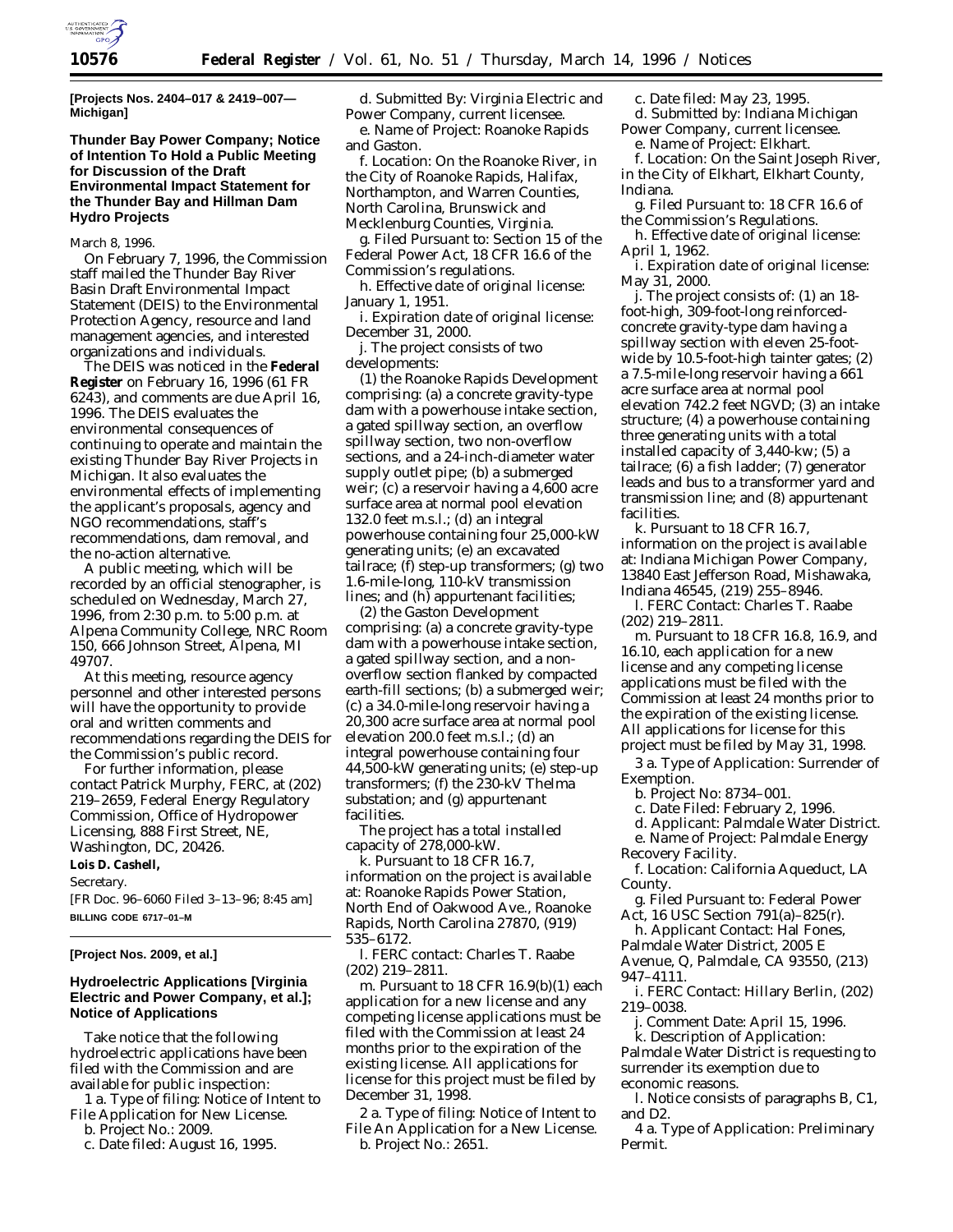

**[Projects Nos. 2404–017 & 2419–007— Michigan]**

## **Thunder Bay Power Company; Notice of Intention To Hold a Public Meeting for Discussion of the Draft Environmental Impact Statement for the Thunder Bay and Hillman Dam Hydro Projects**

March 8, 1996.

On February 7, 1996, the Commission staff mailed the Thunder Bay River Basin Draft Environmental Impact Statement (DEIS) to the Environmental Protection Agency, resource and land management agencies, and interested organizations and individuals.

The DEIS was noticed in the **Federal Register** on February 16, 1996 (61 FR 6243), and comments are due April 16, 1996. The DEIS evaluates the environmental consequences of continuing to operate and maintain the existing Thunder Bay River Projects in Michigan. It also evaluates the environmental effects of implementing the applicant's proposals, agency and NGO recommendations, staff's recommendations, dam removal, and the no-action alternative.

A public meeting, which will be recorded by an official stenographer, is scheduled on Wednesday, March 27, 1996, from 2:30 p.m. to 5:00 p.m. at Alpena Community College, NRC Room 150, 666 Johnson Street, Alpena, MI 49707.

At this meeting, resource agency personnel and other interested persons will have the opportunity to provide oral and written comments and recommendations regarding the DEIS for the Commission's public record.

For further information, please contact Patrick Murphy, FERC, at (202) 219–2659, Federal Energy Regulatory Commission, Office of Hydropower Licensing, 888 First Street, NE, Washington, DC, 20426. **Lois D. Cashell,** *Secretary.* [FR Doc. 96–6060 Filed 3–13–96; 8:45 am] **BILLING CODE 6717–01–M**

### **[Project Nos. 2009, et al.]**

## **Hydroelectric Applications [Virginia Electric and Power Company, et al.]; Notice of Applications**

Take notice that the following hydroelectric applications have been filed with the Commission and are available for public inspection:

1 a. *Type of filing:* Notice of Intent to File Application for New License.

b. *Project No.:* 2009.

c. *Date filed:* August 16, 1995.

d. *Submitted By:* Virginia Electric and Power Company, current licensee. e. *Name of Project:* Roanoke Rapids and Gaston.

f. *Location:* On the Roanoke River, in the City of Roanoke Rapids, Halifax, Northampton, and Warren Counties, North Carolina, Brunswick and Mecklenburg Counties, Virginia.

g. *Filed Pursuant to:* Section 15 of the Federal Power Act, 18 CFR 16.6 of the Commission's regulations.

h. *Effective date of original license:* January 1, 1951.

i. *Expiration date of original license:* December 31, 2000.

j. *The project consists of two developments:*

(1) the Roanoke Rapids Development comprising: (a) a concrete gravity-type dam with a powerhouse intake section, a gated spillway section, an overflow spillway section, two non-overflow sections, and a 24-inch-diameter water supply outlet pipe; (b) a submerged weir; (c) a reservoir having a 4,600 acre surface area at normal pool elevation 132.0 feet m.s.l.; (d) an integral powerhouse containing four 25,000-kW generating units; (e) an excavated tailrace; (f) step-up transformers; (g) two 1.6-mile-long, 110-kV transmission lines; and (h) appurtenant facilities;

(2) the Gaston Development comprising: (a) a concrete gravity-type dam with a powerhouse intake section, a gated spillway section, and a nonoverflow section flanked by compacted earth-fill sections; (b) a submerged weir; (c) a 34.0-mile-long reservoir having a 20,300 acre surface area at normal pool elevation 200.0 feet m.s.l.; (d) an integral powerhouse containing four 44,500-kW generating units; (e) step-up transformers; (f) the 230-kV Thelma substation; and (g) appurtenant facilities.

The project has a total installed capacity of 278,000-kW.

k. Pursuant to 18 CFR 16.7, information on the project is available at: Roanoke Rapids Power Station, North End of Oakwood Ave., Roanoke Rapids, North Carolina 27870, (919) 535–6172.

l. *FERC contact:* Charles T. Raabe (202) 219–2811.

m. Pursuant to 18 CFR 16.9(b)(1) each application for a new license and any competing license applications must be filed with the Commission at least 24 months prior to the expiration of the existing license. All applications for license for this project must be filed by December 31, 1998.

2 a. *Type of filing:* Notice of Intent to File An Application for a New License. b. *Project No.:* 2651.

c. *Date filed:* May 23, 1995. d. *Submitted by:* Indiana Michigan Power Company, current licensee.

e. *Name of Project:* Elkhart.

f. *Location:* On the Saint Joseph River, in the City of Elkhart, Elkhart County, Indiana.

g. *Filed Pursuant to:* 18 CFR 16.6 of the Commission's Regulations.

h. *Effective date of original license:* April 1, 1962.

i. *Expiration date of original license:* May 31, 2000.

j. *The project consists of:* (1) an 18 foot-high, 309-foot-long reinforcedconcrete gravity-type dam having a spillway section with eleven 25-footwide by 10.5-foot-high tainter gates; (2) a 7.5-mile-long reservoir having a 661 acre surface area at normal pool elevation 742.2 feet NGVD; (3) an intake structure; (4) a powerhouse containing three generating units with a total installed capacity of 3,440-kw; (5) a tailrace; (6) a fish ladder; (7) generator leads and bus to a transformer yard and transmission line; and (8) appurtenant facilities.

k. Pursuant to 18 CFR 16.7, information on the project is available at: Indiana Michigan Power Company, 13840 East Jefferson Road, Mishawaka, Indiana 46545, (219) 255–8946.

l. *FERC Contact:* Charles T. Raabe (202) 219–2811.

m. Pursuant to 18 CFR 16.8, 16.9, and 16.10, each application for a new license and any competing license applications must be filed with the Commission at least 24 months prior to the expiration of the existing license. All applications for license for this project must be filed by May 31, 1998.

3 a. *Type of Application:* Surrender of Exemption.

b. *Project No:* 8734–001.

c. *Date Filed:* February 2, 1996.

d. *Applicant:* Palmdale Water District.

e. *Name of Project:* Palmdale Energy

Recovery Facility.

f. *Location:* California Aqueduct, LA County.

g. *Filed Pursuant to:* Federal Power Act, 16 USC Section 791(a)–825(r).

h. *Applicant Contact:* Hal Fones,

Palmdale Water District, 2005 E

Avenue, Q, Palmdale, CA 93550, (213) 947–4111.

i. *FERC Contact:* Hillary Berlin, (202) 219–0038.

j. *Comment Date:* April 15, 1996.

k. *Description of Application:* Palmdale Water District is requesting to surrender its exemption due to economic reasons.

l. Notice consists of paragraphs B, C1, and D2.

4 a. *Type of Application:* Preliminary Permit.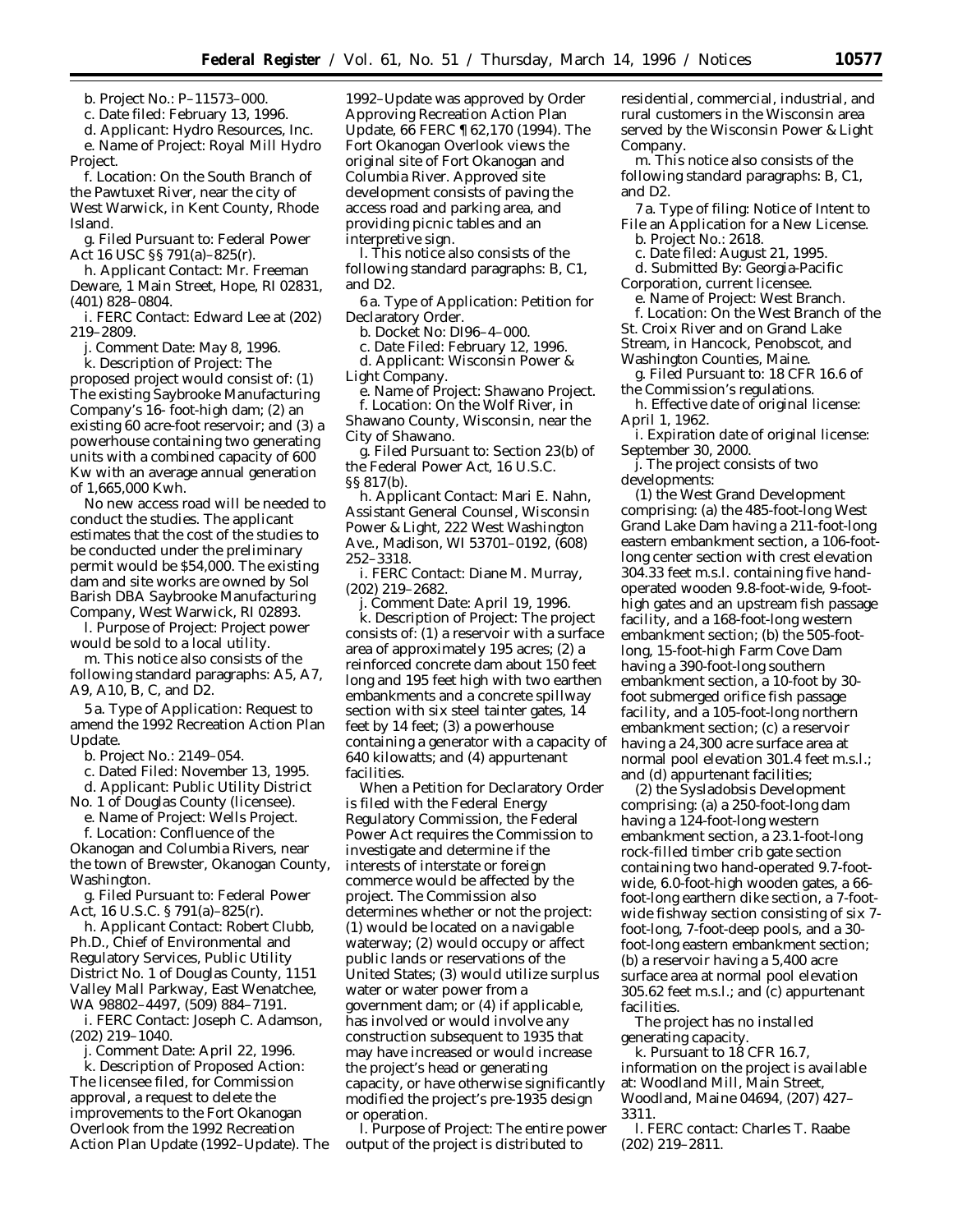b. *Project No.:* P–11573–000.

c. *Date filed:* February 13, 1996.

d. *Applicant:* Hydro Resources, Inc. e. *Name of Project:* Royal Mill Hydro Project.

f. *Location:* On the South Branch of the Pawtuxet River, near the city of West Warwick, in Kent County, Rhode Island.

g. *Filed Pursuant to:* Federal Power Act 16 USC §§ 791(a)–825(r).

h. *Applicant Contact:* Mr. Freeman Deware, 1 Main Street, Hope, RI 02831, (401) 828–0804.

i. *FERC Contact:* Edward Lee at (202) 219–2809.

j. *Comment Date: May 8, 1996.*

k. *Description of Project:* The proposed project would consist of: (1) The existing Saybrooke Manufacturing Company's 16- foot-high dam; (2) an existing 60 acre-foot reservoir; and (3) a powerhouse containing two generating units with a combined capacity of 600 Kw with an average annual generation of 1,665,000 Kwh.

No new access road will be needed to conduct the studies. The applicant estimates that the cost of the studies to be conducted under the preliminary permit would be \$54,000. The existing dam and site works are owned by Sol Barish DBA Saybrooke Manufacturing Company, West Warwick, RI 02893.

l. *Purpose of Project:* Project power would be sold to a local utility.

m. This notice also consists of the following standard paragraphs: A5, A7, A9, A10, B, C, and D2.

5 a. *Type of Application:* Request to amend the 1992 Recreation Action Plan Update.

b. *Project No.:* 2149–054.

c. *Dated Filed:* November 13, 1995.

d. *Applicant:* Public Utility District

No. 1 of Douglas County (licensee).

e. *Name of Project:* Wells Project. f. *Location:* Confluence of the Okanogan and Columbia Rivers, near the town of Brewster, Okanogan County, Washington.

g. *Filed Pursuant to:* Federal Power Act, 16 U.S.C. § 791(a)–825(r).

h. *Applicant Contact:* Robert Clubb, Ph.D., Chief of Environmental and Regulatory Services, Public Utility District No. 1 of Douglas County, 1151 Valley Mall Parkway, East Wenatchee, WA 98802–4497, (509) 884–7191.

i. *FERC Contact:* Joseph C. Adamson, (202) 219–1040.

j. *Comment Date:* April 22, 1996. k. *Description of Proposed Action:* The licensee filed, for Commission approval, a request to delete the improvements to the Fort Okanogan Overlook from the 1992 Recreation Action Plan Update (1992–Update). The

1992–Update was approved by Order Approving Recreation Action Plan Update, 66 FERC ¶ 62,170 (1994). The Fort Okanogan Overlook views the original site of Fort Okanogan and Columbia River. Approved site development consists of paving the access road and parking area, and providing picnic tables and an interpretive sign.

l. This notice also consists of the following standard paragraphs: B, C1, and D2.

6 a. *Type of Application:* Petition for Declaratory Order.

b. *Docket No:* DI96–4–000.

c. *Date Filed:* February 12, 1996.

d. *Applicant:* Wisconsin Power & Light Company.

e. *Name of Project:* Shawano Project. f. *Location:* On the Wolf River, in

Shawano County, Wisconsin, near the City of Shawano.

g. *Filed Pursuant to:* Section 23(b) of the Federal Power Act, 16 U.S.C. §§ 817(b).

h. *Applicant Contact:* Mari E. Nahn, Assistant General Counsel, Wisconsin Power & Light, 222 West Washington Ave., Madison, WI 53701–0192, (608) 252–3318.

i. *FERC Contact:* Diane M. Murray, (202) 219–2682.

j. *Comment Date:* April 19, 1996. k. *Description of Project:* The project consists of: (1) a reservoir with a surface area of approximately 195 acres; (2) a reinforced concrete dam about 150 feet long and 195 feet high with two earthen embankments and a concrete spillway section with six steel tainter gates, 14 feet by 14 feet; (3) a powerhouse containing a generator with a capacity of 640 kilowatts; and (4) appurtenant facilities.

When a Petition for Declaratory Order is filed with the Federal Energy Regulatory Commission, the Federal Power Act requires the Commission to investigate and determine if the interests of interstate or foreign commerce would be affected by the project. The Commission also determines whether or not the project: (1) would be located on a navigable waterway; (2) would occupy or affect public lands or reservations of the United States; (3) would utilize surplus water or water power from a government dam; or (4) if applicable, has involved or would involve any construction subsequent to 1935 that may have increased or would increase the project's head or generating capacity, or have otherwise significantly modified the project's pre-1935 design or operation.

l. *Purpose of Project:* The entire power output of the project is distributed to

residential, commercial, industrial, and rural customers in the Wisconsin area served by the Wisconsin Power & Light Company.

m. This notice also consists of the following standard paragraphs: B, C1, and D2.

7 a. *Type of filing:* Notice of Intent to File an Application for a New License.

b. *Project No.:* 2618. c. *Date filed:* August 21, 1995.

d. *Submitted By:* Georgia-Pacific

Corporation, current licensee.

e. *Name of Project:* West Branch. f. *Location:* On the West Branch of the St. Croix River and on Grand Lake Stream, in Hancock, Penobscot, and

Washington Counties, Maine.

g. *Filed Pursuant to:* 18 CFR 16.6 of the Commission's regulations.

h. *Effective date of original license:* April 1, 1962.

i. *Expiration date of original license:* September 30, 2000.

j. *The project consists of two developments:*

(1) the West Grand Development comprising: (a) the 485-foot-long West Grand Lake Dam having a 211-foot-long eastern embankment section, a 106-footlong center section with crest elevation 304.33 feet m.s.l. containing five handoperated wooden 9.8-foot-wide, 9-foothigh gates and an upstream fish passage facility, and a 168-foot-long western embankment section; (b) the 505-footlong, 15-foot-high Farm Cove Dam having a 390-foot-long southern embankment section, a 10-foot by 30 foot submerged orifice fish passage facility, and a 105-foot-long northern embankment section; (c) a reservoir having a 24,300 acre surface area at normal pool elevation 301.4 feet m.s.l.; and (d) appurtenant facilities;

(2) the Sysladobsis Development comprising: (a) a 250-foot-long dam having a 124-foot-long western embankment section, a 23.1-foot-long rock-filled timber crib gate section containing two hand-operated 9.7-footwide, 6.0-foot-high wooden gates, a 66 foot-long earthern dike section, a 7-footwide fishway section consisting of six 7 foot-long, 7-foot-deep pools, and a 30 foot-long eastern embankment section; (b) a reservoir having a 5,400 acre surface area at normal pool elevation 305.62 feet m.s.l.; and (c) appurtenant facilities.

The project has no installed generating capacity.

k. Pursuant to 18 CFR 16.7, information on the project is available at: Woodland Mill, Main Street, Woodland, Maine 04694, (207) 427– 3311.

l. *FERC contact:* Charles T. Raabe (202) 219–2811.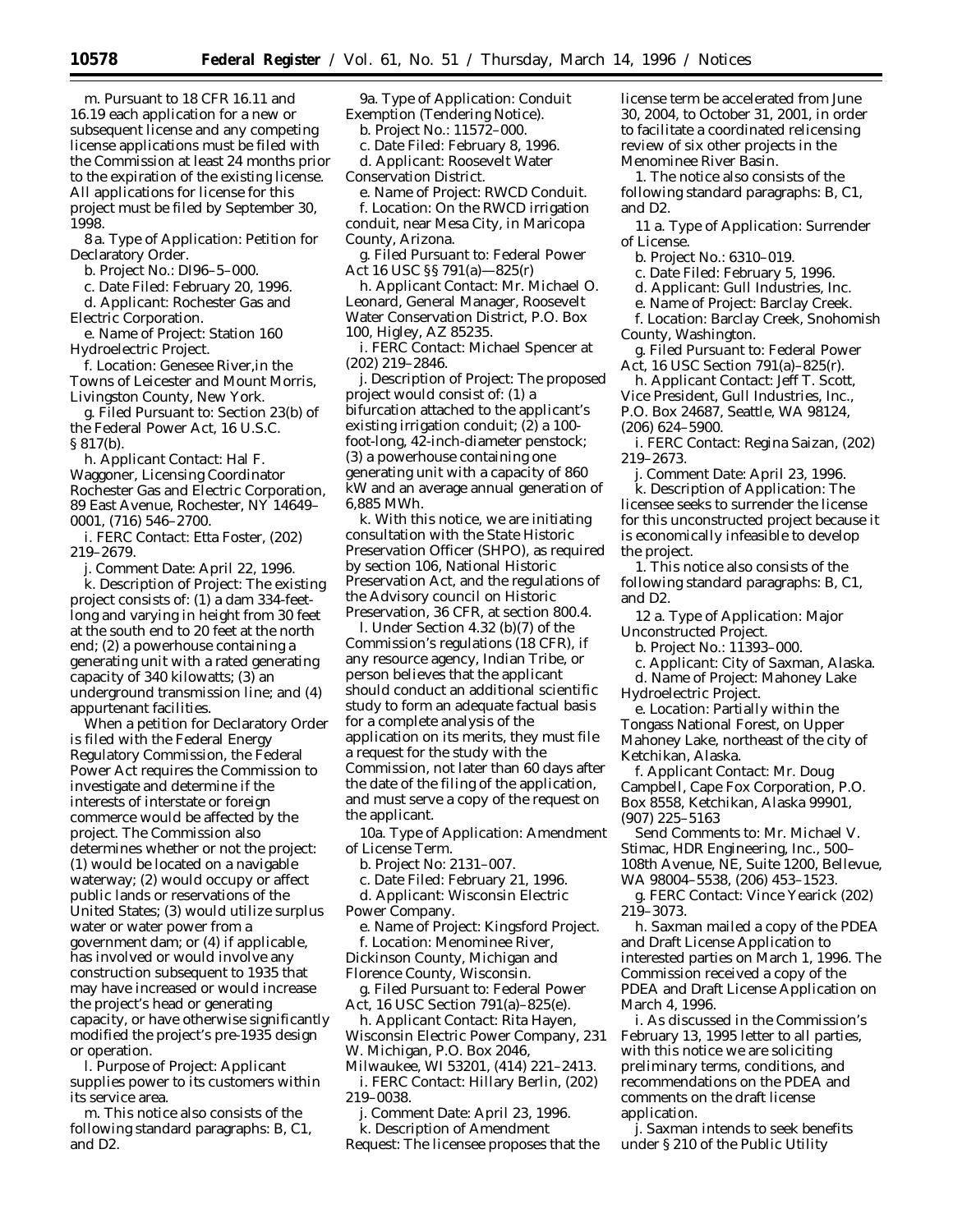license applications must be filed with the Commission at least 24 months prior to the expiration of the existing license. All applications for license for this project must be filed by September 30, 1998.

8 a. *Type of Application:* Petition for Declaratory Order.

b. *Project No.:* DI96–5–000.

c. *Date Filed:* February 20, 1996.

d. *Applicant:* Rochester Gas and Electric Corporation.

e. *Name of Project:* Station 160 Hydroelectric Project.

f. *Location:* Genesee River,in the Towns of Leicester and Mount Morris, Livingston County, New York.

g. *Filed Pursuant to:* Section 23(b) of the Federal Power Act, 16 U.S.C. § 817(b).

h. *Applicant Contact:* Hal F. Waggoner, Licensing Coordinator Rochester Gas and Electric Corporation, 89 East Avenue, Rochester, NY 14649– 0001, (716) 546–2700.

i. *FERC Contact:* Etta Foster, (202) 219–2679.

j. *Comment Date:* April 22, 1996.

k. *Description of Project:* The existing project consists of: (1) a dam 334-feetlong and varying in height from 30 feet at the south end to 20 feet at the north end; (2) a powerhouse containing a generating unit with a rated generating capacity of 340 kilowatts; (3) an underground transmission line; and (4) appurtenant facilities.

When a petition for Declaratory Order is filed with the Federal Energy Regulatory Commission, the Federal Power Act requires the Commission to investigate and determine if the interests of interstate or foreign commerce would be affected by the project. The Commission also determines whether or not the project: (1) would be located on a navigable waterway; (2) would occupy or affect public lands or reservations of the United States; (3) would utilize surplus water or water power from a government dam; or (4) if applicable, has involved or would involve any construction subsequent to 1935 that may have increased or would increase the project's head or generating capacity, or have otherwise significantly modified the project's pre-1935 design or operation.

l. *Purpose of Project:* Applicant supplies power to its customers within its service area.

m. This notice also consists of the following standard paragraphs: B, C1, and D2.

9a. *Type of Application:* Conduit Exemption (Tendering Notice).

b. *Project No.:* 11572–000.

c. *Date Filed:* February 8, 1996.

d. *Applicant:* Roosevelt Water

Conservation District.

e. *Name of Project:* RWCD Conduit. f. *Location:* On the RWCD irrigation

conduit, near Mesa City, in Maricopa County, Arizona.

g. *Filed Pursuant to:* Federal Power Act 16 USC §§ 791(a)—825(r)

h. *Applicant Contact:* Mr. Michael O. Leonard, General Manager, Roosevelt Water Conservation District, P.O. Box 100, Higley, AZ 85235.

i. *FERC Contact:* Michael Spencer at (202) 219–2846.

j. *Description of Project:* The proposed project would consist of: (1) a bifurcation attached to the applicant's existing irrigation conduit; (2) a 100 foot-long, 42-inch-diameter penstock; (3) a powerhouse containing one generating unit with a capacity of 860 kW and an average annual generation of 6,885 MWh.

k. With this notice, we are initiating consultation with the *State Historic Preservation Officer (SHPO),* as required by section 106, National Historic Preservation Act, and the regulations of the Advisory council on Historic Preservation, 36 CFR, at section 800.4.

l. Under Section 4.32 (b)(7) of the Commission's regulations (18 CFR), if any resource agency, Indian Tribe, or person believes that the applicant should conduct an additional scientific study to form an adequate factual basis for a complete analysis of the application on its merits, they must file a request for the study with the Commission, not later than 60 days after the date of the filing of the application, and must serve a copy of the request on the applicant.

10a. *Type of Application:* Amendment of License Term.

b. *Project No:* 2131–007.

c. *Date Filed:* February 21, 1996. d. *Applicant:* Wisconsin Electric Power Company.

e. *Name of Project:* Kingsford Project. f. *Location:* Menominee River, Dickinson County, Michigan and Florence County, Wisconsin.

g. *Filed Pursuant to:* Federal Power Act, 16 USC Section 791(a)–825(e).

h. *Applicant Contact:* Rita Hayen, Wisconsin Electric Power Company, 231 W. Michigan, P.O. Box 2046,

Milwaukee, WI 53201, (414) 221–2413. i. *FERC Contact:* Hillary Berlin, (202) 219–0038.

j. *Comment Date:* April 23, 1996. k. *Description of Amendment*

*Request:* The licensee proposes that the

license term be accelerated from June 30, 2004, to October 31, 2001, in order to facilitate a coordinated relicensing review of six other projects in the Menominee River Basin.

1. The notice also consists of the following standard paragraphs: B, C1, and D2.

11 a. *Type of Application:* Surrender of License.

b. *Project No.:* 6310–019.

c. *Date Filed:* February 5, 1996.

d. *Applicant:* Gull Industries, Inc.

e. *Name of Project:* Barclay Creek.

f. *Location:* Barclay Creek, Snohomish County, Washington.

g. *Filed Pursuant to:* Federal Power Act, 16 USC Section 791(a)–825(r).

h. *Applicant Contact:* Jeff T. Scott,

Vice President, Gull Industries, Inc., P.O. Box 24687, Seattle, WA 98124,

(206) 624–5900.

i. *FERC Contact:* Regina Saizan, (202) 219–2673.

j. *Comment Date:* April 23, 1996. k. *Description of Application:* The licensee seeks to surrender the license for this unconstructed project because it is economically infeasible to develop the project.

1. This notice also consists of the following standard paragraphs: B, C1, and D2.

12 a. *Type of Application:* Major Unconstructed Project.

b. *Project No.:* 11393–000.

c. *Applicant:* City of Saxman, Alaska.

d. *Name of Project:* Mahoney Lake

Hydroelectric Project.

e. *Location:* Partially within the Tongass National Forest, on Upper Mahoney Lake, northeast of the city of Ketchikan, Alaska.

f. *Applicant Contact:* Mr. Doug Campbell, Cape Fox Corporation, P.O. Box 8558, Ketchikan, Alaska 99901, (907) 225–5163

Send Comments to: Mr. Michael V. Stimac, HDR Engineering, Inc., 500– 108th Avenue, NE, Suite 1200, Bellevue, WA 98004–5538, (206) 453–1523.

g. *FERC Contact:* Vince Yearick (202) 219–3073.

h. Saxman mailed a copy of the PDEA and Draft License Application to interested parties on March 1, 1996. The Commission received a copy of the PDEA and Draft License Application on March 4, 1996.

i. As discussed in the Commission's February 13, 1995 letter to all parties, with this notice we are soliciting preliminary terms, conditions, and recommendations on the PDEA and comments on the draft license application.

j. Saxman intends to seek benefits under § 210 of the Public Utility